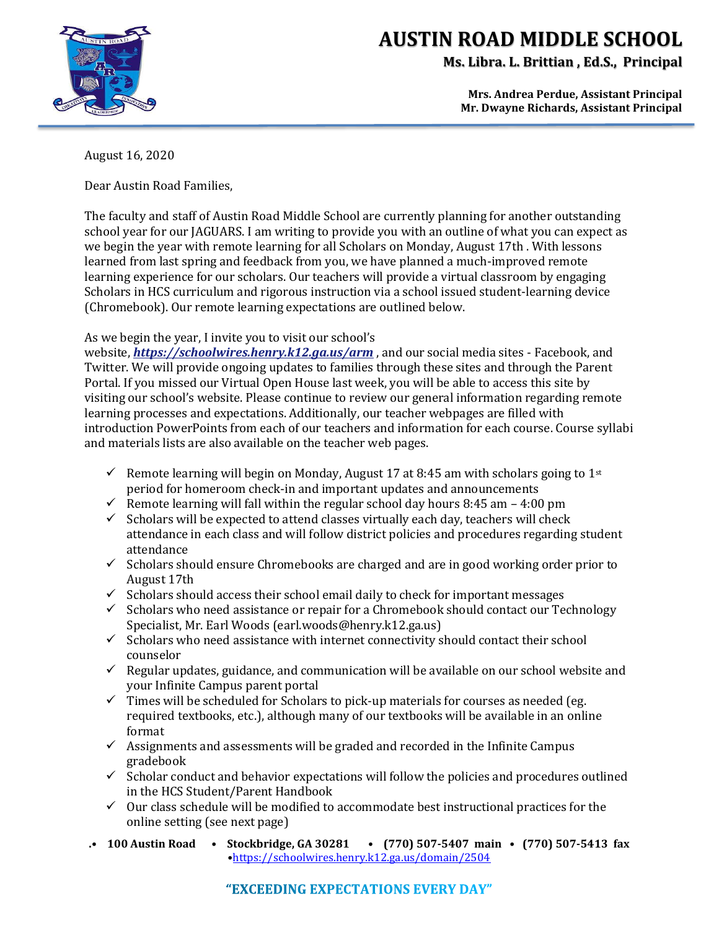

**Ms. Libra. L. Brittian , Ed.S., Principal**

**Mrs. Andrea Perdue, Assistant Principal Mr. Dwayne Richards, Assistant Principal**

August 16, 2020

Dear Austin Road Families,

The faculty and staff of Austin Road Middle School are currently planning for another outstanding school year for our JAGUARS. I am writing to provide you with an outline of what you can expect as we begin the year with remote learning for all Scholars on Monday, August 17th . With lessons learned from last spring and feedback from you, we have planned a much-improved remote learning experience for our scholars. Our teachers will provide a virtual classroom by engaging Scholars in HCS curriculum and rigorous instruction via a school issued student-learning device (Chromebook). Our remote learning expectations are outlined below.

As we begin the year, I invite you to visit our school's

website, *<https://schoolwires.henry.k12.ga.us/arm>* , and our social media sites - Facebook, and Twitter. We will provide ongoing updates to families through these sites and through the Parent Portal. If you missed our Virtual Open House last week, you will be able to access this site by visiting our school's website. Please continue to review our general information regarding remote learning processes and expectations. Additionally, our teacher webpages are filled with introduction PowerPoints from each of our teachers and information for each course. Course syllabi and materials lists are also available on the teacher web pages.

- Remote learning will begin on Monday, August 17 at 8:45 am with scholars going to 1st period for homeroom check-in and important updates and announcements
- Extempt Memote learning will fall within the regular school day hours 8:45 am  $-$  4:00 pm
- $\checkmark$  Scholars will be expected to attend classes virtually each day, teachers will check attendance in each class and will follow district policies and procedures regarding student attendance
- $\checkmark$  Scholars should ensure Chromebooks are charged and are in good working order prior to August 17th
- $\checkmark$  Scholars should access their school email daily to check for important messages
- $\checkmark$  Scholars who need assistance or repair for a Chromebook should contact our Technology Specialist, Mr. Earl Woods (earl.woods@henry.k12.ga.us)
- $\checkmark$  Scholars who need assistance with internet connectivity should contact their school counselor
- $\checkmark$  Regular updates, guidance, and communication will be available on our school website and your Infinite Campus parent portal
- $\checkmark$  Times will be scheduled for Scholars to pick-up materials for courses as needed (eg. required textbooks, etc.), although many of our textbooks will be available in an online format
- $\checkmark$  Assignments and assessments will be graded and recorded in the Infinite Campus gradebook
- $\checkmark$  Scholar conduct and behavior expectations will follow the policies and procedures outlined in the HCS Student/Parent Handbook
- $\checkmark$  Our class schedule will be modified to accommodate best instructional practices for the online setting (see next page)
- **.• 100 Austin Road Stockbridge, GA 30281 • (770) 507-5407 main • (770) 507-5413 fax** •<https://schoolwires.henry.k12.ga.us/domain/2504>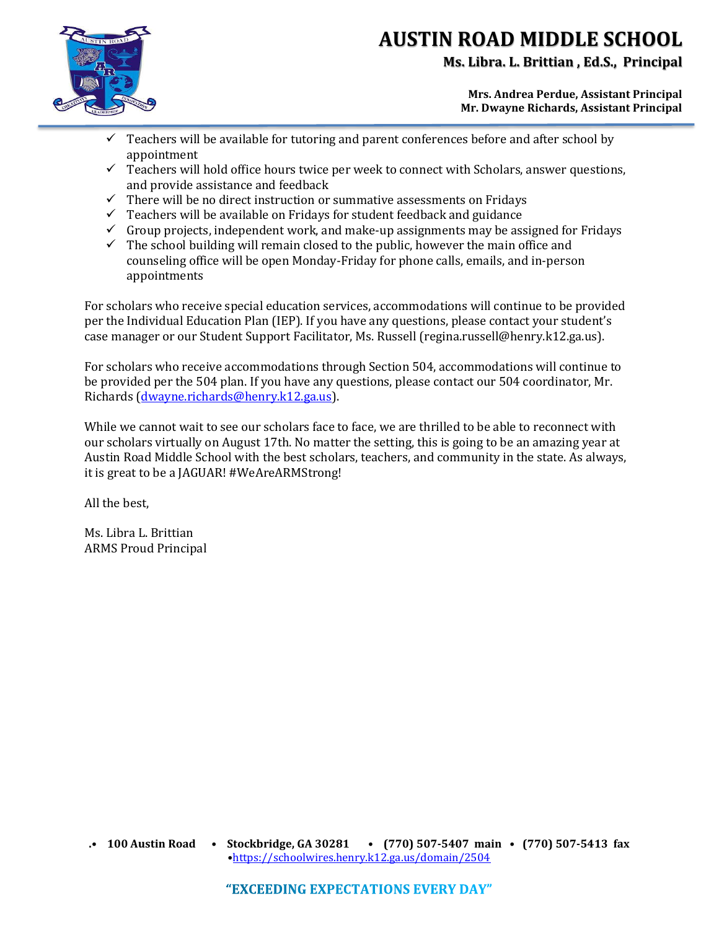**Ms. Libra. L. Brittian , Ed.S., Principal**



**Mrs. Andrea Perdue, Assistant Principal Mr. Dwayne Richards, Assistant Principal**

- $\checkmark$  Teachers will be available for tutoring and parent conferences before and after school by appointment
- $\checkmark$  Teachers will hold office hours twice per week to connect with Scholars, answer questions, and provide assistance and feedback
- $\checkmark$  There will be no direct instruction or summative assessments on Fridays
- $\checkmark$  Teachers will be available on Fridays for student feedback and guidance
- $\checkmark$  Group projects, independent work, and make-up assignments may be assigned for Fridays
- $\checkmark$  The school building will remain closed to the public, however the main office and counseling office will be open Monday-Friday for phone calls, emails, and in-person appointments

For scholars who receive special education services, accommodations will continue to be provided per the Individual Education Plan (IEP). If you have any questions, please contact your student's case manager or our Student Support Facilitator, Ms. Russell (regina.russell@henry.k12.ga.us).

For scholars who receive accommodations through Section 504, accommodations will continue to be provided per the 504 plan. If you have any questions, please contact our 504 coordinator, Mr. Richards [\(dwayne.richards@henry.k12.ga.us\)](mailto:dwayne.richards@henry.k12.ga.us).

While we cannot wait to see our scholars face to face, we are thrilled to be able to reconnect with our scholars virtually on August 17th. No matter the setting, this is going to be an amazing year at Austin Road Middle School with the best scholars, teachers, and community in the state. As always, it is great to be a JAGUAR! #WeAreARMStrong!

All the best,

Ms. Libra L. Brittian ARMS Proud Principal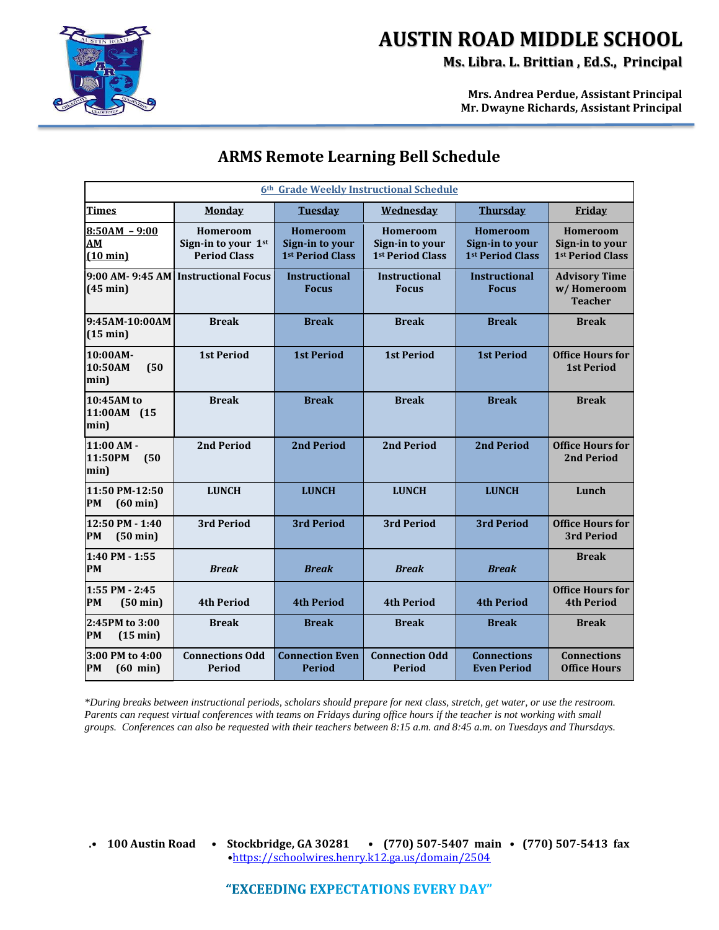

**Ms. Libra. L. Brittian , Ed.S., Principal**

**Mrs. Andrea Perdue, Assistant Principal Mr. Dwayne Richards, Assistant Principal**

#### **ARMS Remote Learning Bell Schedule**

| 6th Grade Weekly Instructional Schedule            |                                                               |                                                        |                                                        |                                                        |                                                      |  |  |
|----------------------------------------------------|---------------------------------------------------------------|--------------------------------------------------------|--------------------------------------------------------|--------------------------------------------------------|------------------------------------------------------|--|--|
| <b>Times</b>                                       | <b>Monday</b>                                                 | <b>Tuesday</b>                                         | Wednesday                                              | <b>Thursday</b>                                        | <b>Friday</b>                                        |  |  |
| $8:50AM - 9:00$<br>AM<br>$(10 \text{ min})$        | <b>Homeroom</b><br>Sign-in to your 1st<br><b>Period Class</b> | <b>Homeroom</b><br>Sign-in to your<br>1st Period Class | <b>Homeroom</b><br>Sign-in to your<br>1st Period Class | <b>Homeroom</b><br>Sign-in to your<br>1st Period Class | Homeroom<br>Sign-in to your<br>1st Period Class      |  |  |
| $(45 \text{ min})$                                 | 9:00 AM-9:45 AM Instructional Focus                           | <b>Instructional</b><br><b>Focus</b>                   | <b>Instructional</b><br><b>Focus</b>                   | <b>Instructional</b><br><b>Focus</b>                   | <b>Advisory Time</b><br>w/Homeroom<br><b>Teacher</b> |  |  |
| 9:45AM-10:00AM<br>$(15 \text{ min})$               | <b>Break</b>                                                  | <b>Break</b>                                           | <b>Break</b>                                           | <b>Break</b>                                           | <b>Break</b>                                         |  |  |
| 10:00AM-<br>10:50AM<br>(50)<br>min)                | <b>1st Period</b>                                             | <b>1st Period</b>                                      | <b>1st Period</b>                                      | <b>1st Period</b>                                      | <b>Office Hours for</b><br><b>1st Period</b>         |  |  |
| 10:45AM to<br>11:00AM (15<br>min)                  | <b>Break</b>                                                  | <b>Break</b>                                           | <b>Break</b>                                           | <b>Break</b>                                           | <b>Break</b>                                         |  |  |
| 11:00 AM -<br>11:50PM<br>(50)<br>min)              | <b>2nd Period</b>                                             | <b>2nd Period</b>                                      | <b>2nd Period</b>                                      | <b>2nd Period</b>                                      | <b>Office Hours for</b><br><b>2nd Period</b>         |  |  |
| 11:50 PM-12:50<br><b>PM</b><br>$(60 \text{ min})$  | <b>LUNCH</b>                                                  | <b>LUNCH</b>                                           | <b>LUNCH</b>                                           | <b>LUNCH</b>                                           | Lunch                                                |  |  |
| 12:50 PM - 1:40<br><b>PM</b><br>$(50 \text{ min})$ | 3rd Period                                                    | <b>3rd Period</b>                                      | <b>3rd Period</b>                                      | <b>3rd Period</b>                                      | <b>Office Hours for</b><br>3rd Period                |  |  |
| $1:40$ PM - $1:55$<br><b>PM</b>                    | <b>Break</b>                                                  | <b>Break</b>                                           | <b>Break</b>                                           | <b>Break</b>                                           | <b>Break</b>                                         |  |  |
| 1:55 PM - 2:45<br><b>PM</b><br>$(50 \text{ min})$  | <b>4th Period</b>                                             | <b>4th Period</b>                                      | <b>4th Period</b>                                      | <b>4th Period</b>                                      | <b>Office Hours for</b><br><b>4th Period</b>         |  |  |
| 2:45PM to 3:00<br><b>PM</b><br>$(15 \text{ min})$  | <b>Break</b>                                                  | <b>Break</b>                                           | <b>Break</b>                                           | <b>Break</b>                                           | <b>Break</b>                                         |  |  |
| 3:00 PM to 4:00<br><b>PM</b><br>$(60 \text{ min})$ | <b>Connections Odd</b><br>Period                              | <b>Connection Even</b><br><b>Period</b>                | <b>Connection Odd</b><br><b>Period</b>                 | <b>Connections</b><br><b>Even Period</b>               | <b>Connections</b><br><b>Office Hours</b>            |  |  |

*\*During breaks between instructional periods, scholars should prepare for next class, stretch, get water, or use the restroom. Parents can request virtual conferences with teams on Fridays during office hours if the teacher is not working with small groups. Conferences can also be requested with their teachers between 8:15 a.m. and 8:45 a.m. on Tuesdays and Thursdays.*

**.• 100 Austin Road • Stockbridge, GA 30281 • (770) 507-5407 main • (770) 507-5413 fax** •<https://schoolwires.henry.k12.ga.us/domain/2504>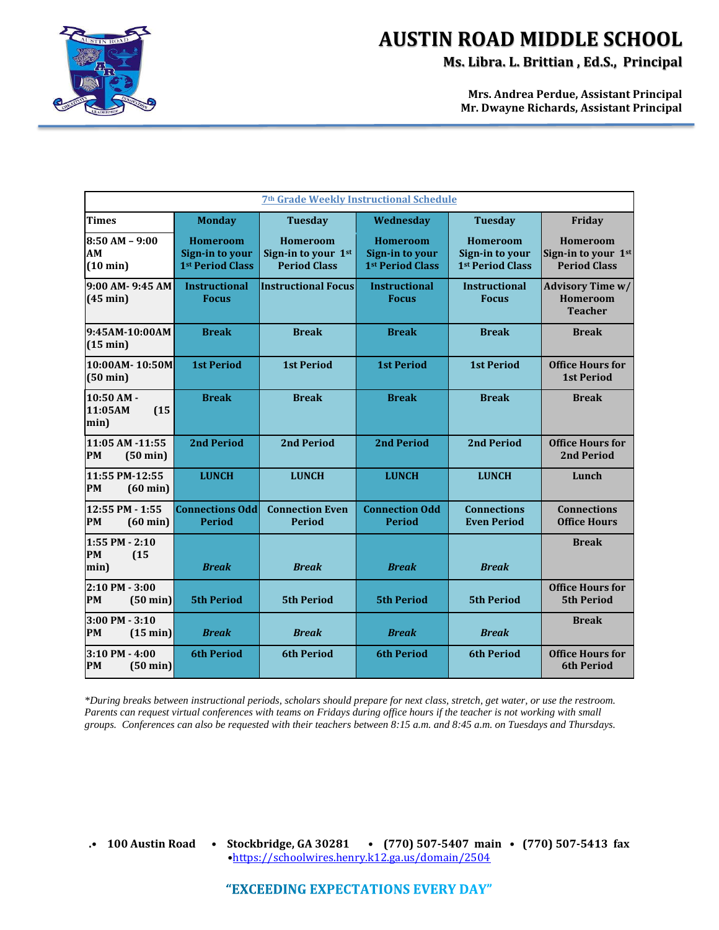

**Ms. Libra. L. Brittian , Ed.S., Principal**

**Mrs. Andrea Perdue, Assistant Principal Mr. Dwayne Richards, Assistant Principal**

| 7th Grade Weekly Instructional Schedule               |                                                                    |                                                               |                                                 |                                                        |                                                        |  |  |
|-------------------------------------------------------|--------------------------------------------------------------------|---------------------------------------------------------------|-------------------------------------------------|--------------------------------------------------------|--------------------------------------------------------|--|--|
| <b>Times</b>                                          | <b>Monday</b>                                                      | <b>Tuesday</b>                                                | Wednesday                                       | <b>Tuesday</b>                                         | Friday                                                 |  |  |
| $8:50 AM - 9:00$<br>AM<br>$(10 \text{ min})$          | <b>Homeroom</b><br>Sign-in to your<br>1 <sup>st</sup> Period Class | <b>Homeroom</b><br>Sign-in to your 1st<br><b>Period Class</b> | Homeroom<br>Sign-in to your<br>1st Period Class | <b>Homeroom</b><br>Sign-in to your<br>1st Period Class | Homeroom<br>Sign-in to your 1st<br><b>Period Class</b> |  |  |
| 9:00 AM-9:45 AM<br>$(45 \text{ min})$                 | <b>Instructional</b><br><b>Focus</b>                               | <b>Instructional Focus</b>                                    | <b>Instructional</b><br><b>Focus</b>            | <b>Instructional</b><br><b>Focus</b>                   | <b>Advisory Time w/</b><br>Homeroom<br><b>Teacher</b>  |  |  |
| 9:45AM-10:00AM<br>$(15 \text{ min})$                  | <b>Break</b>                                                       | <b>Break</b>                                                  | <b>Break</b>                                    | <b>Break</b>                                           | <b>Break</b>                                           |  |  |
| 10:00AM-10:50M<br>$(50 \text{ min})$                  | <b>1st Period</b>                                                  | <b>1st Period</b>                                             | <b>1st Period</b>                               | <b>1st Period</b>                                      | <b>Office Hours for</b><br><b>1st Period</b>           |  |  |
| 10:50 AM -<br>11:05AM<br>(15)<br>min)                 | <b>Break</b>                                                       | <b>Break</b>                                                  | <b>Break</b>                                    | <b>Break</b>                                           | <b>Break</b>                                           |  |  |
| 11:05 AM -11:55<br>PM<br>$(50 \text{ min})$           | <b>2nd Period</b>                                                  | <b>2nd Period</b>                                             | <b>2nd Period</b>                               | <b>2nd Period</b>                                      | <b>Office Hours for</b><br><b>2nd Period</b>           |  |  |
| 11:55 PM-12:55<br>PM<br>$(60 \text{ min})$            | <b>LUNCH</b>                                                       | <b>LUNCH</b>                                                  | <b>LUNCH</b>                                    | <b>LUNCH</b>                                           | Lunch                                                  |  |  |
| 12:55 PM - 1:55<br><b>PM</b><br>$(60 \text{ min})$    | <b>Connections Odd</b><br><b>Period</b>                            | <b>Connection Even</b><br><b>Period</b>                       | <b>Connection Odd</b><br><b>Period</b>          | <b>Connections</b><br><b>Even Period</b>               | <b>Connections</b><br><b>Office Hours</b>              |  |  |
| 1:55 PM - 2:10<br><b>PM</b><br>(15)<br>min)           | <b>Break</b>                                                       | <b>Break</b>                                                  | <b>Break</b>                                    | <b>Break</b>                                           | <b>Break</b>                                           |  |  |
| 2:10 PM - 3:00<br>PM<br>$(50 \text{ min})$            | <b>5th Period</b>                                                  | <b>5th Period</b>                                             | <b>5th Period</b>                               | <b>5th Period</b>                                      | <b>Office Hours for</b><br><b>5th Period</b>           |  |  |
| 3:00 PM - 3:10<br>PM<br>$(15 \text{ min})$            | <b>Break</b>                                                       | <b>Break</b>                                                  | <b>Break</b>                                    | <b>Break</b>                                           | <b>Break</b>                                           |  |  |
| $3:10$ PM - $4:00$<br><b>PM</b><br>$(50 \text{ min})$ | <b>6th Period</b>                                                  | <b>6th Period</b>                                             | <b>6th Period</b>                               | <b>6th Period</b>                                      | <b>Office Hours for</b><br><b>6th Period</b>           |  |  |

*\*During breaks between instructional periods, scholars should prepare for next class, stretch, get water, or use the restroom. Parents can request virtual conferences with teams on Fridays during office hours if the teacher is not working with small groups. Conferences can also be requested with their teachers between 8:15 a.m. and 8:45 a.m. on Tuesdays and Thursdays.*

**.• 100 Austin Road • Stockbridge, GA 30281 • (770) 507-5407 main • (770) 507-5413 fax** •<https://schoolwires.henry.k12.ga.us/domain/2504>